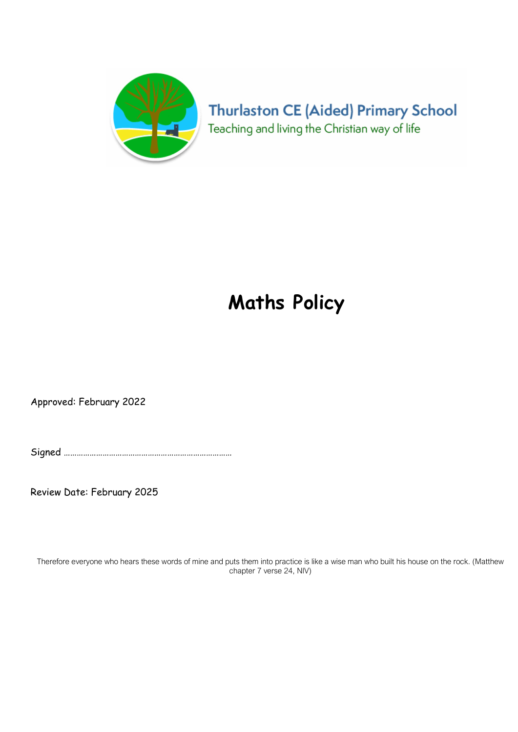

# **Thurlaston CE (Aided) Primary School** Teaching and living the Christian way of life

# Maths Policy

Approved: February 2022

Signed ……………………………………………………………………

Review Date: February 2025

Therefore everyone who hears these words of mine and puts them into practice is like a wise man who built his house on the rock. (Matthew chapter 7 verse 24, NIV)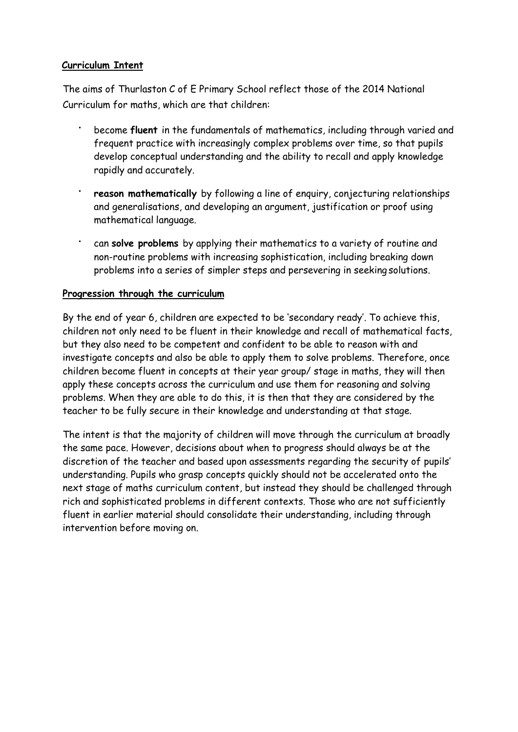# Curriculum Intent

The aims of Thurlaston C of E Primary School reflect those of the 2014 National Curriculum for maths, which are that children:

- become fluent in the fundamentals of mathematics, including through varied and frequent practice with increasingly complex problems over time, so that pupils develop conceptual understanding and the ability to recall and apply knowledge rapidly and accurately.
- reason mathematically by following a line of enquiry, conjecturing relationships and generalisations, and developing an argument, justification or proof using mathematical language.
- can solve problems by applying their mathematics to a variety of routine and non-routine problems with increasing sophistication, including breaking down problems into a series of simpler steps and persevering in seeking solutions.

# Progression through the curriculum

By the end of year 6, children are expected to be 'secondary ready'. To achieve this, children not only need to be fluent in their knowledge and recall of mathematical facts, but they also need to be competent and confident to be able to reason with and investigate concepts and also be able to apply them to solve problems. Therefore, once children become fluent in concepts at their year group/ stage in maths, they will then apply these concepts across the curriculum and use them for reasoning and solving problems. When they are able to do this, it is then that they are considered by the teacher to be fully secure in their knowledge and understanding at that stage.

The intent is that the majority of children will move through the curriculum at broadly the same pace. However, decisions about when to progress should always be at the discretion of the teacher and based upon assessments regarding the security of pupils' understanding. Pupils who grasp concepts quickly should not be accelerated onto the next stage of maths curriculum content, but instead they should be challenged through rich and sophisticated problems in different contexts. Those who are not sufficiently fluent in earlier material should consolidate their understanding, including through intervention before moving on.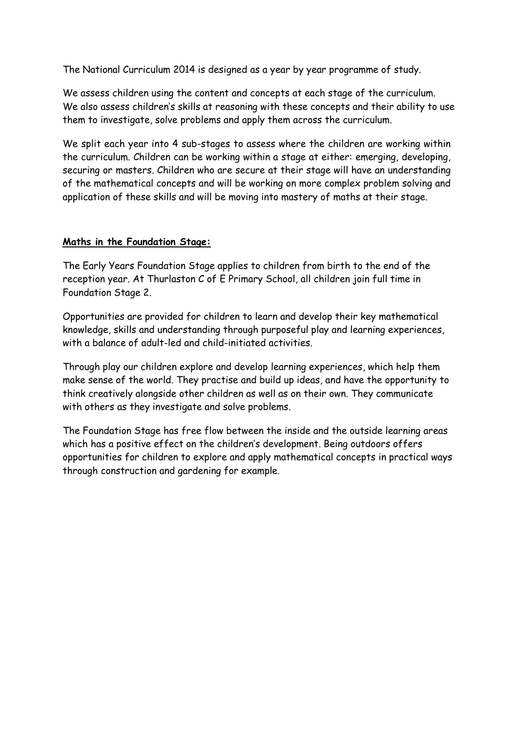The National Curriculum 2014 is designed as a year by year programme of study.

We assess children using the content and concepts at each stage of the curriculum. We also assess children's skills at reasoning with these concepts and their ability to use them to investigate, solve problems and apply them across the curriculum.

We split each year into 4 sub-stages to assess where the children are working within the curriculum. Children can be working within a stage at either: emerging, developing, securing or masters. Children who are secure at their stage will have an understanding of the mathematical concepts and will be working on more complex problem solving and application of these skills and will be moving into mastery of maths at their stage.

# Maths in the Foundation Stage:

The Early Years Foundation Stage applies to children from birth to the end of the reception year. At Thurlaston C of E Primary School, all children join full time in Foundation Stage 2.

Opportunities are provided for children to learn and develop their key mathematical knowledge, skills and understanding through purposeful play and learning experiences, with a balance of adult-led and child-initiated activities.

Through play our children explore and develop learning experiences, which help them make sense of the world. They practise and build up ideas, and have the opportunity to think creatively alongside other children as well as on their own. They communicate with others as they investigate and solve problems.

The Foundation Stage has free flow between the inside and the outside learning areas which has a positive effect on the children's development. Being outdoors offers opportunities for children to explore and apply mathematical concepts in practical ways through construction and gardening for example.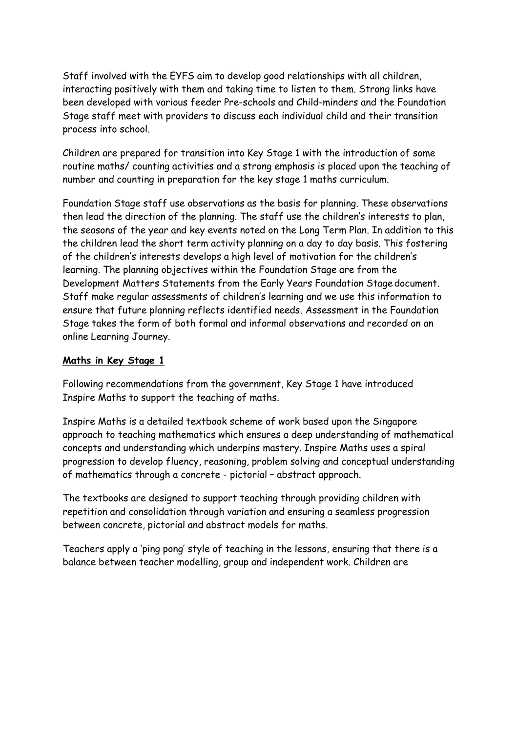Staff involved with the EYFS aim to develop good relationships with all children, interacting positively with them and taking time to listen to them. Strong links have been developed with various feeder Pre-schools and Child-minders and the Foundation Stage staff meet with providers to discuss each individual child and their transition process into school.

Children are prepared for transition into Key Stage 1 with the introduction of some routine maths/ counting activities and a strong emphasis is placed upon the teaching of number and counting in preparation for the key stage 1 maths curriculum.

Foundation Stage staff use observations as the basis for planning. These observations then lead the direction of the planning. The staff use the children's interests to plan, the seasons of the year and key events noted on the Long Term Plan. In addition to this the children lead the short term activity planning on a day to day basis. This fostering of the children's interests develops a high level of motivation for the children's learning. The planning objectives within the Foundation Stage are from the Development Matters Statements from the Early Years Foundation Stage document. Staff make regular assessments of children's learning and we use this information to ensure that future planning reflects identified needs. Assessment in the Foundation Stage takes the form of both formal and informal observations and recorded on an online Learning Journey.

#### Maths in Key Stage 1

Following recommendations from the government, Key Stage 1 have introduced Inspire Maths to support the teaching of maths.

Inspire Maths is a detailed textbook scheme of work based upon the Singapore approach to teaching mathematics which ensures a deep understanding of mathematical concepts and understanding which underpins mastery. Inspire Maths uses a spiral progression to develop fluency, reasoning, problem solving and conceptual understanding of mathematics through a concrete - pictorial – abstract approach.

The textbooks are designed to support teaching through providing children with repetition and consolidation through variation and ensuring a seamless progression between concrete, pictorial and abstract models for maths.

Teachers apply a 'ping pong' style of teaching in the lessons, ensuring that there is a balance between teacher modelling, group and independent work. Children are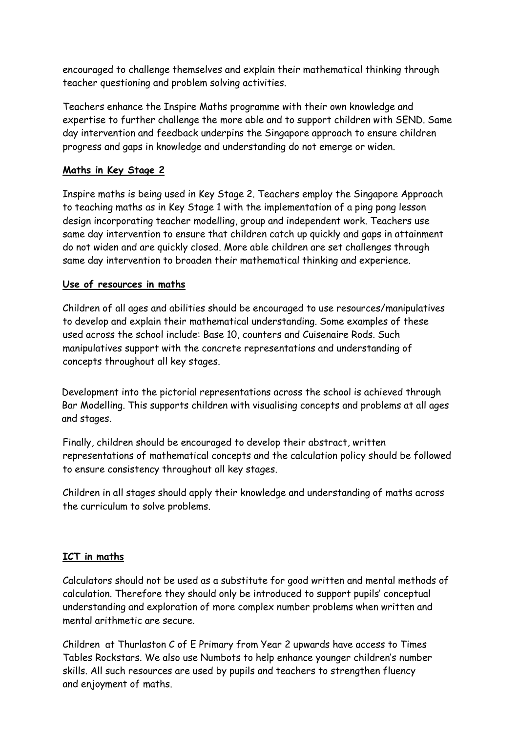encouraged to challenge themselves and explain their mathematical thinking through teacher questioning and problem solving activities.

Teachers enhance the Inspire Maths programme with their own knowledge and expertise to further challenge the more able and to support children with SEND. Same day intervention and feedback underpins the Singapore approach to ensure children progress and gaps in knowledge and understanding do not emerge or widen.

# Maths in Key Stage 2

Inspire maths is being used in Key Stage 2. Teachers employ the Singapore Approach to teaching maths as in Key Stage 1 with the implementation of a ping pong lesson design incorporating teacher modelling, group and independent work. Teachers use same day intervention to ensure that children catch up quickly and gaps in attainment do not widen and are quickly closed. More able children are set challenges through same day intervention to broaden their mathematical thinking and experience.

#### Use of resources in maths

Children of all ages and abilities should be encouraged to use resources/manipulatives to develop and explain their mathematical understanding. Some examples of these used across the school include: Base 10, counters and Cuisenaire Rods. Such manipulatives support with the concrete representations and understanding of concepts throughout all key stages.

Development into the pictorial representations across the school is achieved through Bar Modelling. This supports children with visualising concepts and problems at all ages and stages.

Finally, children should be encouraged to develop their abstract, written representations of mathematical concepts and the calculation policy should be followed to ensure consistency throughout all key stages.

Children in all stages should apply their knowledge and understanding of maths across the curriculum to solve problems.

#### ICT in maths

Calculators should not be used as a substitute for good written and mental methods of calculation. Therefore they should only be introduced to support pupils' conceptual understanding and exploration of more complex number problems when written and mental arithmetic are secure.

Children at Thurlaston C of E Primary from Year 2 upwards have access to Times Tables Rockstars. We also use Numbots to help enhance younger children's number skills. All such resources are used by pupils and teachers to strengthen fluency and enjoyment of maths.